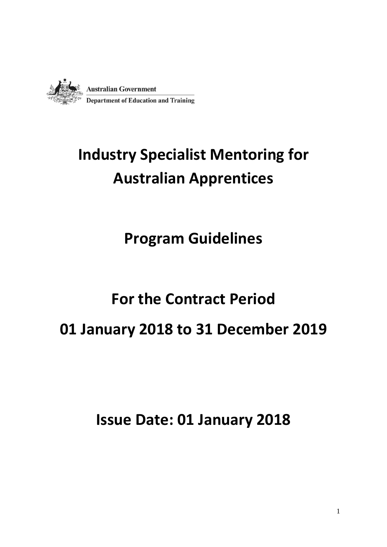

## **Industry Specialist Mentoring for Australian Apprentices**

## **Program Guidelines**

# **For the Contract Period 01 January 2018 to 31 December 2019**

**Issue Date: 01 January 2018**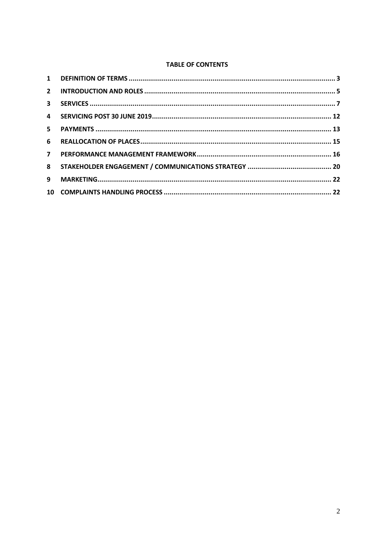#### **TABLE OF CONTENTS**

| $\mathbf{3}$   |  |
|----------------|--|
|                |  |
| $5 -$          |  |
| 6              |  |
| $\overline{7}$ |  |
|                |  |
| 9              |  |
|                |  |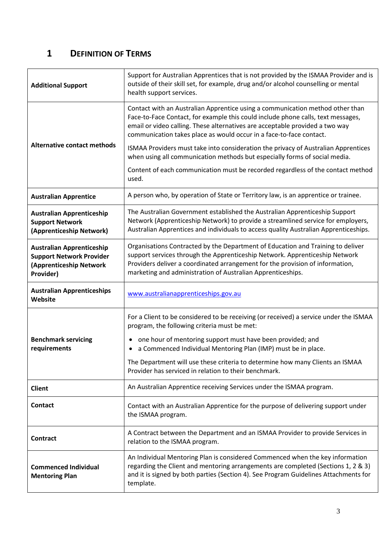#### <span id="page-2-0"></span>**1 DEFINITION OF TERMS**

| <b>Additional Support</b>                                                                                   | Support for Australian Apprentices that is not provided by the ISMAA Provider and is<br>outside of their skill set, for example, drug and/or alcohol counselling or mental<br>health support services.                                                                                                                                                                                                                                                                                       |
|-------------------------------------------------------------------------------------------------------------|----------------------------------------------------------------------------------------------------------------------------------------------------------------------------------------------------------------------------------------------------------------------------------------------------------------------------------------------------------------------------------------------------------------------------------------------------------------------------------------------|
| <b>Alternative contact methods</b>                                                                          | Contact with an Australian Apprentice using a communication method other than<br>Face-to-Face Contact, for example this could include phone calls, text messages,<br>email or video calling. These alternatives are acceptable provided a two way<br>communication takes place as would occur in a face-to-face contact.<br>ISMAA Providers must take into consideration the privacy of Australian Apprentices<br>when using all communication methods but especially forms of social media. |
|                                                                                                             | Content of each communication must be recorded regardless of the contact method<br>used.                                                                                                                                                                                                                                                                                                                                                                                                     |
| <b>Australian Apprentice</b>                                                                                | A person who, by operation of State or Territory law, is an apprentice or trainee.                                                                                                                                                                                                                                                                                                                                                                                                           |
| <b>Australian Apprenticeship</b><br><b>Support Network</b><br>(Apprenticeship Network)                      | The Australian Government established the Australian Apprenticeship Support<br>Network (Apprenticeship Network) to provide a streamlined service for employers,<br>Australian Apprentices and individuals to access quality Australian Apprenticeships.                                                                                                                                                                                                                                      |
| <b>Australian Apprenticeship</b><br><b>Support Network Provider</b><br>(Apprenticeship Network<br>Provider) | Organisations Contracted by the Department of Education and Training to deliver<br>support services through the Apprenticeship Network. Apprenticeship Network<br>Providers deliver a coordinated arrangement for the provision of information,<br>marketing and administration of Australian Apprenticeships.                                                                                                                                                                               |
| <b>Australian Apprenticeships</b><br>Website                                                                | www.australianapprenticeships.gov.au                                                                                                                                                                                                                                                                                                                                                                                                                                                         |
|                                                                                                             | For a Client to be considered to be receiving (or received) a service under the ISMAA<br>program, the following criteria must be met:                                                                                                                                                                                                                                                                                                                                                        |
| <b>Benchmark servicing</b><br>requirements                                                                  | one hour of mentoring support must have been provided; and<br>a Commenced Individual Mentoring Plan (IMP) must be in place.                                                                                                                                                                                                                                                                                                                                                                  |
|                                                                                                             | The Department will use these criteria to determine how many Clients an ISMAA<br>Provider has serviced in relation to their benchmark.                                                                                                                                                                                                                                                                                                                                                       |
| <b>Client</b>                                                                                               | An Australian Apprentice receiving Services under the ISMAA program.                                                                                                                                                                                                                                                                                                                                                                                                                         |
| Contact                                                                                                     | Contact with an Australian Apprentice for the purpose of delivering support under<br>the ISMAA program.                                                                                                                                                                                                                                                                                                                                                                                      |
| <b>Contract</b>                                                                                             | A Contract between the Department and an ISMAA Provider to provide Services in<br>relation to the ISMAA program.                                                                                                                                                                                                                                                                                                                                                                             |
| <b>Commenced Individual</b><br><b>Mentoring Plan</b>                                                        | An Individual Mentoring Plan is considered Commenced when the key information<br>regarding the Client and mentoring arrangements are completed (Sections 1, 2 & 3)<br>and it is signed by both parties (Section 4). See Program Guidelines Attachments for<br>template.                                                                                                                                                                                                                      |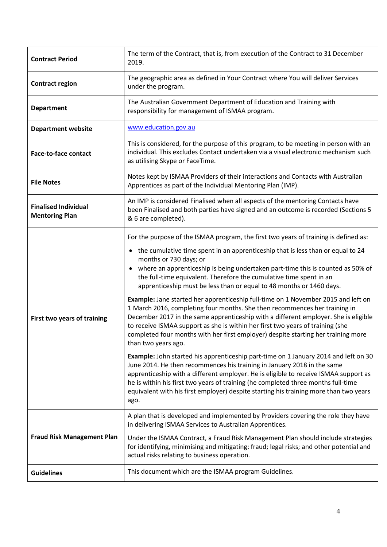| <b>Contract Period</b>                               | The term of the Contract, that is, from execution of the Contract to 31 December<br>2019.                                                                                                                                                                                                                                                                                                                                                                                                                                                                                                                                                                                                                                                                                                                                                                                                                                                                                                                                                                                                                                                                                                                                                                                                                                                            |
|------------------------------------------------------|------------------------------------------------------------------------------------------------------------------------------------------------------------------------------------------------------------------------------------------------------------------------------------------------------------------------------------------------------------------------------------------------------------------------------------------------------------------------------------------------------------------------------------------------------------------------------------------------------------------------------------------------------------------------------------------------------------------------------------------------------------------------------------------------------------------------------------------------------------------------------------------------------------------------------------------------------------------------------------------------------------------------------------------------------------------------------------------------------------------------------------------------------------------------------------------------------------------------------------------------------------------------------------------------------------------------------------------------------|
| <b>Contract region</b>                               | The geographic area as defined in Your Contract where You will deliver Services<br>under the program.                                                                                                                                                                                                                                                                                                                                                                                                                                                                                                                                                                                                                                                                                                                                                                                                                                                                                                                                                                                                                                                                                                                                                                                                                                                |
| <b>Department</b>                                    | The Australian Government Department of Education and Training with<br>responsibility for management of ISMAA program.                                                                                                                                                                                                                                                                                                                                                                                                                                                                                                                                                                                                                                                                                                                                                                                                                                                                                                                                                                                                                                                                                                                                                                                                                               |
| <b>Department website</b>                            | www.education.gov.au                                                                                                                                                                                                                                                                                                                                                                                                                                                                                                                                                                                                                                                                                                                                                                                                                                                                                                                                                                                                                                                                                                                                                                                                                                                                                                                                 |
| <b>Face-to-face contact</b>                          | This is considered, for the purpose of this program, to be meeting in person with an<br>individual. This excludes Contact undertaken via a visual electronic mechanism such<br>as utilising Skype or FaceTime.                                                                                                                                                                                                                                                                                                                                                                                                                                                                                                                                                                                                                                                                                                                                                                                                                                                                                                                                                                                                                                                                                                                                       |
| <b>File Notes</b>                                    | Notes kept by ISMAA Providers of their interactions and Contacts with Australian<br>Apprentices as part of the Individual Mentoring Plan (IMP).                                                                                                                                                                                                                                                                                                                                                                                                                                                                                                                                                                                                                                                                                                                                                                                                                                                                                                                                                                                                                                                                                                                                                                                                      |
| <b>Finalised Individual</b><br><b>Mentoring Plan</b> | An IMP is considered Finalised when all aspects of the mentoring Contacts have<br>been Finalised and both parties have signed and an outcome is recorded (Sections 5<br>& 6 are completed).                                                                                                                                                                                                                                                                                                                                                                                                                                                                                                                                                                                                                                                                                                                                                                                                                                                                                                                                                                                                                                                                                                                                                          |
| First two years of training                          | For the purpose of the ISMAA program, the first two years of training is defined as:<br>• the cumulative time spent in an apprenticeship that is less than or equal to 24<br>months or 730 days; or<br>where an apprenticeship is being undertaken part-time this is counted as 50% of<br>the full-time equivalent. Therefore the cumulative time spent in an<br>apprenticeship must be less than or equal to 48 months or 1460 days.<br>Example: Jane started her apprenticeship full-time on 1 November 2015 and left on<br>1 March 2016, completing four months. She then recommences her training in<br>December 2017 in the same apprenticeship with a different employer. She is eligible<br>to receive ISMAA support as she is within her first two years of training (she<br>completed four months with her first employer) despite starting her training more<br>than two years ago.<br><b>Example:</b> John started his apprenticeship part-time on 1 January 2014 and left on 30<br>June 2014. He then recommences his training in January 2018 in the same<br>apprenticeship with a different employer. He is eligible to receive ISMAA support as<br>he is within his first two years of training (he completed three months full-time<br>equivalent with his first employer) despite starting his training more than two years<br>ago. |
| <b>Fraud Risk Management Plan</b>                    | A plan that is developed and implemented by Providers covering the role they have<br>in delivering ISMAA Services to Australian Apprentices.<br>Under the ISMAA Contract, a Fraud Risk Management Plan should include strategies<br>for identifying, minimising and mitigating: fraud; legal risks; and other potential and<br>actual risks relating to business operation.                                                                                                                                                                                                                                                                                                                                                                                                                                                                                                                                                                                                                                                                                                                                                                                                                                                                                                                                                                          |
| <b>Guidelines</b>                                    | This document which are the ISMAA program Guidelines.                                                                                                                                                                                                                                                                                                                                                                                                                                                                                                                                                                                                                                                                                                                                                                                                                                                                                                                                                                                                                                                                                                                                                                                                                                                                                                |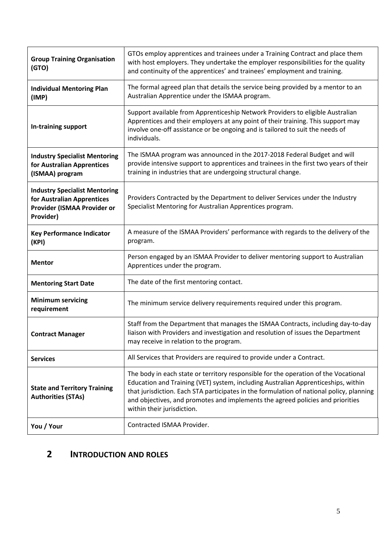| <b>Group Training Organisation</b><br>(GTO)                                                                    | GTOs employ apprentices and trainees under a Training Contract and place them<br>with host employers. They undertake the employer responsibilities for the quality<br>and continuity of the apprentices' and trainees' employment and training.                                                                                                                                      |
|----------------------------------------------------------------------------------------------------------------|--------------------------------------------------------------------------------------------------------------------------------------------------------------------------------------------------------------------------------------------------------------------------------------------------------------------------------------------------------------------------------------|
| <b>Individual Mentoring Plan</b><br>(IMP)                                                                      | The formal agreed plan that details the service being provided by a mentor to an<br>Australian Apprentice under the ISMAA program.                                                                                                                                                                                                                                                   |
| In-training support                                                                                            | Support available from Apprenticeship Network Providers to eligible Australian<br>Apprentices and their employers at any point of their training. This support may<br>involve one-off assistance or be ongoing and is tailored to suit the needs of<br>individuals.                                                                                                                  |
| <b>Industry Specialist Mentoring</b><br>for Australian Apprentices<br>(ISMAA) program                          | The ISMAA program was announced in the 2017-2018 Federal Budget and will<br>provide intensive support to apprentices and trainees in the first two years of their<br>training in industries that are undergoing structural change.                                                                                                                                                   |
| <b>Industry Specialist Mentoring</b><br>for Australian Apprentices<br>Provider (ISMAA Provider or<br>Provider) | Providers Contracted by the Department to deliver Services under the Industry<br>Specialist Mentoring for Australian Apprentices program.                                                                                                                                                                                                                                            |
| <b>Key Performance Indicator</b><br>(KPI)                                                                      | A measure of the ISMAA Providers' performance with regards to the delivery of the<br>program.                                                                                                                                                                                                                                                                                        |
| <b>Mentor</b>                                                                                                  | Person engaged by an ISMAA Provider to deliver mentoring support to Australian<br>Apprentices under the program.                                                                                                                                                                                                                                                                     |
| <b>Mentoring Start Date</b>                                                                                    | The date of the first mentoring contact.                                                                                                                                                                                                                                                                                                                                             |
| <b>Minimum servicing</b><br>requirement                                                                        | The minimum service delivery requirements required under this program.                                                                                                                                                                                                                                                                                                               |
| <b>Contract Manager</b>                                                                                        | Staff from the Department that manages the ISMAA Contracts, including day-to-day<br>liaison with Providers and investigation and resolution of issues the Department<br>may receive in relation to the program.                                                                                                                                                                      |
| <b>Services</b>                                                                                                | All Services that Providers are required to provide under a Contract.                                                                                                                                                                                                                                                                                                                |
| <b>State and Territory Training</b><br><b>Authorities (STAs)</b>                                               | The body in each state or territory responsible for the operation of the Vocational<br>Education and Training (VET) system, including Australian Apprenticeships, within<br>that jurisdiction. Each STA participates in the formulation of national policy, planning<br>and objectives, and promotes and implements the agreed policies and priorities<br>within their jurisdiction. |
| You / Your                                                                                                     | Contracted ISMAA Provider.                                                                                                                                                                                                                                                                                                                                                           |

#### <span id="page-4-0"></span>**2 INTRODUCTION AND ROLES**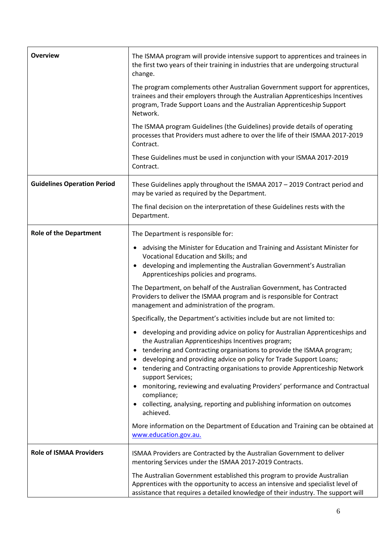| <b>Overview</b>                    | The ISMAA program will provide intensive support to apprentices and trainees in<br>the first two years of their training in industries that are undergoing structural<br>change.                                                                     |
|------------------------------------|------------------------------------------------------------------------------------------------------------------------------------------------------------------------------------------------------------------------------------------------------|
|                                    | The program complements other Australian Government support for apprentices,<br>trainees and their employers through the Australian Apprenticeships Incentives<br>program, Trade Support Loans and the Australian Apprenticeship Support<br>Network. |
|                                    | The ISMAA program Guidelines (the Guidelines) provide details of operating<br>processes that Providers must adhere to over the life of their ISMAA 2017-2019<br>Contract.                                                                            |
|                                    | These Guidelines must be used in conjunction with your ISMAA 2017-2019<br>Contract.                                                                                                                                                                  |
| <b>Guidelines Operation Period</b> | These Guidelines apply throughout the ISMAA 2017 - 2019 Contract period and<br>may be varied as required by the Department.                                                                                                                          |
|                                    | The final decision on the interpretation of these Guidelines rests with the<br>Department.                                                                                                                                                           |
| <b>Role of the Department</b>      | The Department is responsible for:                                                                                                                                                                                                                   |
|                                    | advising the Minister for Education and Training and Assistant Minister for<br>Vocational Education and Skills; and<br>developing and implementing the Australian Government's Australian                                                            |
|                                    | Apprenticeships policies and programs.                                                                                                                                                                                                               |
|                                    | The Department, on behalf of the Australian Government, has Contracted<br>Providers to deliver the ISMAA program and is responsible for Contract<br>management and administration of the program.                                                    |
|                                    | Specifically, the Department's activities include but are not limited to:                                                                                                                                                                            |
|                                    | developing and providing advice on policy for Australian Apprenticeships and<br>the Australian Apprenticeships Incentives program;                                                                                                                   |
|                                    | tendering and Contracting organisations to provide the ISMAA program;<br>٠<br>developing and providing advice on policy for Trade Support Loans;                                                                                                     |
|                                    | tendering and Contracting organisations to provide Apprenticeship Network<br>support Services;                                                                                                                                                       |
|                                    | monitoring, reviewing and evaluating Providers' performance and Contractual<br>compliance;                                                                                                                                                           |
|                                    | collecting, analysing, reporting and publishing information on outcomes<br>achieved.                                                                                                                                                                 |
|                                    | More information on the Department of Education and Training can be obtained at<br>www.education.gov.au.                                                                                                                                             |
| <b>Role of ISMAA Providers</b>     | ISMAA Providers are Contracted by the Australian Government to deliver<br>mentoring Services under the ISMAA 2017-2019 Contracts.                                                                                                                    |
|                                    | The Australian Government established this program to provide Australian<br>Apprentices with the opportunity to access an intensive and specialist level of<br>assistance that requires a detailed knowledge of their industry. The support will     |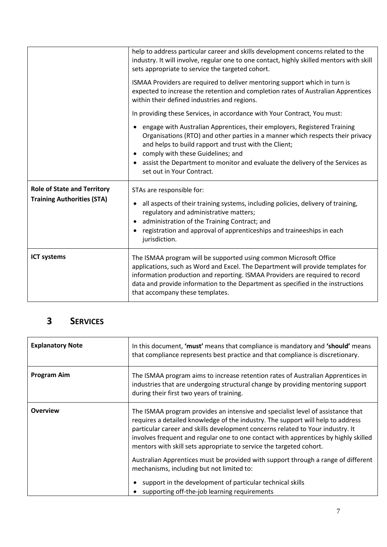|                                                                         | help to address particular career and skills development concerns related to the<br>industry. It will involve, regular one to one contact, highly skilled mentors with skill<br>sets appropriate to service the targeted cohort.                                                                                                                           |
|-------------------------------------------------------------------------|------------------------------------------------------------------------------------------------------------------------------------------------------------------------------------------------------------------------------------------------------------------------------------------------------------------------------------------------------------|
|                                                                         | ISMAA Providers are required to deliver mentoring support which in turn is<br>expected to increase the retention and completion rates of Australian Apprentices<br>within their defined industries and regions.                                                                                                                                            |
|                                                                         | In providing these Services, in accordance with Your Contract, You must:                                                                                                                                                                                                                                                                                   |
|                                                                         | • engage with Australian Apprentices, their employers, Registered Training<br>Organisations (RTO) and other parties in a manner which respects their privacy<br>and helps to build rapport and trust with the Client;<br>• comply with these Guidelines; and                                                                                               |
|                                                                         | • assist the Department to monitor and evaluate the delivery of the Services as<br>set out in Your Contract.                                                                                                                                                                                                                                               |
| <b>Role of State and Territory</b><br><b>Training Authorities (STA)</b> | STAs are responsible for:<br>all aspects of their training systems, including policies, delivery of training,<br>regulatory and administrative matters;<br>administration of the Training Contract; and<br>registration and approval of apprenticeships and traineeships in each<br>jurisdiction.                                                          |
| <b>ICT systems</b>                                                      | The ISMAA program will be supported using common Microsoft Office<br>applications, such as Word and Excel. The Department will provide templates for<br>information production and reporting. ISMAA Providers are required to record<br>data and provide information to the Department as specified in the instructions<br>that accompany these templates. |

#### <span id="page-6-0"></span>**3 SERVICES**

| <b>Explanatory Note</b> | In this document, 'must' means that compliance is mandatory and 'should' means<br>that compliance represents best practice and that compliance is discretionary.                                                                                                                                                                                                                                                   |
|-------------------------|--------------------------------------------------------------------------------------------------------------------------------------------------------------------------------------------------------------------------------------------------------------------------------------------------------------------------------------------------------------------------------------------------------------------|
| <b>Program Aim</b>      | The ISMAA program aims to increase retention rates of Australian Apprentices in<br>industries that are undergoing structural change by providing mentoring support<br>during their first two years of training.                                                                                                                                                                                                    |
| <b>Overview</b>         | The ISMAA program provides an intensive and specialist level of assistance that<br>requires a detailed knowledge of the industry. The support will help to address<br>particular career and skills development concerns related to Your industry. It<br>involves frequent and regular one to one contact with apprentices by highly skilled<br>mentors with skill sets appropriate to service the targeted cohort. |
|                         | Australian Apprentices must be provided with support through a range of different<br>mechanisms, including but not limited to:                                                                                                                                                                                                                                                                                     |
|                         | support in the development of particular technical skills<br>supporting off-the-job learning requirements                                                                                                                                                                                                                                                                                                          |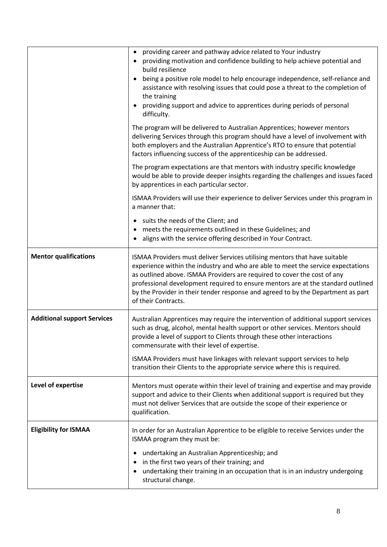|                                    | providing career and pathway advice related to Your industry<br>providing motivation and confidence building to help achieve potential and<br>build resilience<br>being a positive role model to help encourage independence, self-reliance and<br>assistance with resolving issues that could pose a threat to the completion of<br>the training<br>providing support and advice to apprentices during periods of personal<br>difficulty. |
|------------------------------------|--------------------------------------------------------------------------------------------------------------------------------------------------------------------------------------------------------------------------------------------------------------------------------------------------------------------------------------------------------------------------------------------------------------------------------------------|
|                                    | The program will be delivered to Australian Apprentices; however mentors<br>delivering Services through this program should have a level of involvement with<br>both employers and the Australian Apprentice's RTO to ensure that potential<br>factors influencing success of the apprenticeship can be addressed.                                                                                                                         |
|                                    | The program expectations are that mentors with industry specific knowledge<br>would be able to provide deeper insights regarding the challenges and issues faced<br>by apprentices in each particular sector.                                                                                                                                                                                                                              |
|                                    | ISMAA Providers will use their experience to deliver Services under this program in<br>a manner that:                                                                                                                                                                                                                                                                                                                                      |
|                                    | suits the needs of the Client; and<br>meets the requirements outlined in these Guidelines; and<br>aligns with the service offering described in Your Contract.                                                                                                                                                                                                                                                                             |
| <b>Mentor qualifications</b>       | ISMAA Providers must deliver Services utilising mentors that have suitable<br>experience within the industry and who are able to meet the service expectations<br>as outlined above. ISMAA Providers are required to cover the cost of any<br>professional development required to ensure mentors are at the standard outlined<br>by the Provider in their tender response and agreed to by the Department as part<br>of their Contracts.  |
| <b>Additional support Services</b> | Australian Apprentices may require the intervention of additional support services<br>such as drug, alcohol, mental health support or other services. Mentors should<br>provide a level of support to Clients through these other interactions<br>commensurate with their level of expertise.                                                                                                                                              |
|                                    | ISMAA Providers must have linkages with relevant support services to help<br>transition their Clients to the appropriate service where this is required.                                                                                                                                                                                                                                                                                   |
| Level of expertise                 | Mentors must operate within their level of training and expertise and may provide<br>support and advice to their Clients when additional support is required but they<br>must not deliver Services that are outside the scope of their experience or<br>qualification.                                                                                                                                                                     |
| <b>Eligibility for ISMAA</b>       | In order for an Australian Apprentice to be eligible to receive Services under the<br>ISMAA program they must be:                                                                                                                                                                                                                                                                                                                          |
|                                    | undertaking an Australian Apprenticeship; and<br>in the first two years of their training; and<br>undertaking their training in an occupation that is in an industry undergoing<br>structural change.                                                                                                                                                                                                                                      |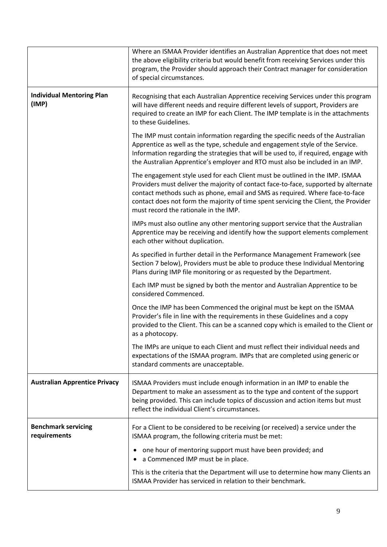|                                            | Where an ISMAA Provider identifies an Australian Apprentice that does not meet<br>the above eligibility criteria but would benefit from receiving Services under this<br>program, the Provider should approach their Contract manager for consideration<br>of special circumstances.                                                                                                |
|--------------------------------------------|-------------------------------------------------------------------------------------------------------------------------------------------------------------------------------------------------------------------------------------------------------------------------------------------------------------------------------------------------------------------------------------|
| <b>Individual Mentoring Plan</b><br>(IMP)  | Recognising that each Australian Apprentice receiving Services under this program<br>will have different needs and require different levels of support, Providers are<br>required to create an IMP for each Client. The IMP template is in the attachments<br>to these Guidelines.                                                                                                  |
|                                            | The IMP must contain information regarding the specific needs of the Australian<br>Apprentice as well as the type, schedule and engagement style of the Service.<br>Information regarding the strategies that will be used to, if required, engage with<br>the Australian Apprentice's employer and RTO must also be included in an IMP.                                            |
|                                            | The engagement style used for each Client must be outlined in the IMP. ISMAA<br>Providers must deliver the majority of contact face-to-face, supported by alternate<br>contact methods such as phone, email and SMS as required. Where face-to-face<br>contact does not form the majority of time spent servicing the Client, the Provider<br>must record the rationale in the IMP. |
|                                            | IMPs must also outline any other mentoring support service that the Australian<br>Apprentice may be receiving and identify how the support elements complement<br>each other without duplication.                                                                                                                                                                                   |
|                                            | As specified in further detail in the Performance Management Framework (see<br>Section 7 below), Providers must be able to produce these Individual Mentoring<br>Plans during IMP file monitoring or as requested by the Department.                                                                                                                                                |
|                                            | Each IMP must be signed by both the mentor and Australian Apprentice to be<br>considered Commenced.                                                                                                                                                                                                                                                                                 |
|                                            | Once the IMP has been Commenced the original must be kept on the ISMAA<br>Provider's file in line with the requirements in these Guidelines and a copy<br>provided to the Client. This can be a scanned copy which is emailed to the Client or<br>as a photocopy.                                                                                                                   |
|                                            | The IMPs are unique to each Client and must reflect their individual needs and<br>expectations of the ISMAA program. IMPs that are completed using generic or<br>standard comments are unacceptable.                                                                                                                                                                                |
| <b>Australian Apprentice Privacy</b>       | ISMAA Providers must include enough information in an IMP to enable the<br>Department to make an assessment as to the type and content of the support<br>being provided. This can include topics of discussion and action items but must<br>reflect the individual Client's circumstances.                                                                                          |
| <b>Benchmark servicing</b><br>requirements | For a Client to be considered to be receiving (or received) a service under the<br>ISMAA program, the following criteria must be met:                                                                                                                                                                                                                                               |
|                                            | one hour of mentoring support must have been provided; and<br>a Commenced IMP must be in place.                                                                                                                                                                                                                                                                                     |
|                                            | This is the criteria that the Department will use to determine how many Clients an<br>ISMAA Provider has serviced in relation to their benchmark.                                                                                                                                                                                                                                   |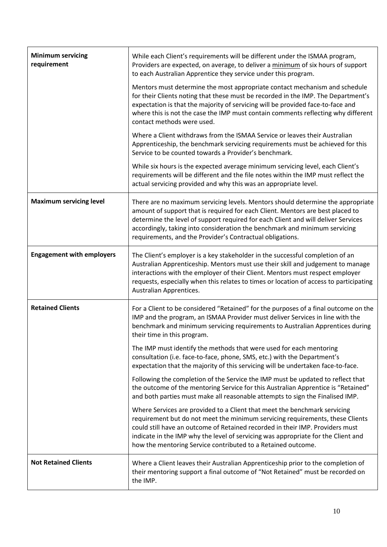| <b>Minimum servicing</b><br>requirement | While each Client's requirements will be different under the ISMAA program,<br>Providers are expected, on average, to deliver a minimum of six hours of support<br>to each Australian Apprentice they service under this program.                                                                                                                                                                 |
|-----------------------------------------|---------------------------------------------------------------------------------------------------------------------------------------------------------------------------------------------------------------------------------------------------------------------------------------------------------------------------------------------------------------------------------------------------|
|                                         | Mentors must determine the most appropriate contact mechanism and schedule<br>for their Clients noting that these must be recorded in the IMP. The Department's<br>expectation is that the majority of servicing will be provided face-to-face and<br>where this is not the case the IMP must contain comments reflecting why different<br>contact methods were used.                             |
|                                         | Where a Client withdraws from the ISMAA Service or leaves their Australian<br>Apprenticeship, the benchmark servicing requirements must be achieved for this<br>Service to be counted towards a Provider's benchmark.                                                                                                                                                                             |
|                                         | While six hours is the expected average minimum servicing level, each Client's<br>requirements will be different and the file notes within the IMP must reflect the<br>actual servicing provided and why this was an appropriate level.                                                                                                                                                           |
| <b>Maximum servicing level</b>          | There are no maximum servicing levels. Mentors should determine the appropriate<br>amount of support that is required for each Client. Mentors are best placed to<br>determine the level of support required for each Client and will deliver Services<br>accordingly, taking into consideration the benchmark and minimum servicing<br>requirements, and the Provider's Contractual obligations. |
| <b>Engagement with employers</b>        | The Client's employer is a key stakeholder in the successful completion of an<br>Australian Apprenticeship. Mentors must use their skill and judgement to manage<br>interactions with the employer of their Client. Mentors must respect employer<br>requests, especially when this relates to times or location of access to participating<br>Australian Apprentices.                            |
| <b>Retained Clients</b>                 | For a Client to be considered "Retained" for the purposes of a final outcome on the<br>IMP and the program, an ISMAA Provider must deliver Services in line with the<br>benchmark and minimum servicing requirements to Australian Apprentices during<br>their time in this program.                                                                                                              |
|                                         | The IMP must identify the methods that were used for each mentoring<br>consultation (i.e. face-to-face, phone, SMS, etc.) with the Department's<br>expectation that the majority of this servicing will be undertaken face-to-face.                                                                                                                                                               |
|                                         | Following the completion of the Service the IMP must be updated to reflect that<br>the outcome of the mentoring Service for this Australian Apprentice is "Retained"<br>and both parties must make all reasonable attempts to sign the Finalised IMP.                                                                                                                                             |
|                                         | Where Services are provided to a Client that meet the benchmark servicing<br>requirement but do not meet the minimum servicing requirements, these Clients<br>could still have an outcome of Retained recorded in their IMP. Providers must<br>indicate in the IMP why the level of servicing was appropriate for the Client and<br>how the mentoring Service contributed to a Retained outcome.  |
| <b>Not Retained Clients</b>             | Where a Client leaves their Australian Apprenticeship prior to the completion of<br>their mentoring support a final outcome of "Not Retained" must be recorded on<br>the IMP.                                                                                                                                                                                                                     |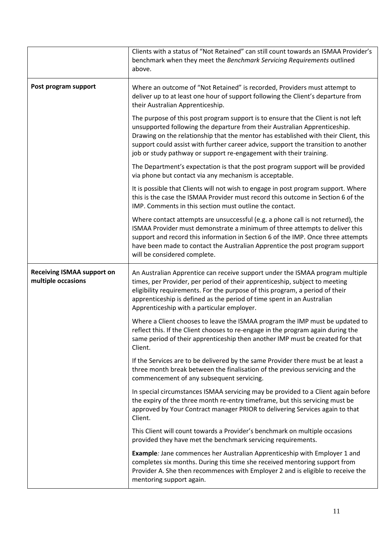|                                                         | Clients with a status of "Not Retained" can still count towards an ISMAA Provider's<br>benchmark when they meet the Benchmark Servicing Requirements outlined<br>above.                                                                                                                                                                                                                                           |
|---------------------------------------------------------|-------------------------------------------------------------------------------------------------------------------------------------------------------------------------------------------------------------------------------------------------------------------------------------------------------------------------------------------------------------------------------------------------------------------|
| Post program support                                    | Where an outcome of "Not Retained" is recorded, Providers must attempt to<br>deliver up to at least one hour of support following the Client's departure from<br>their Australian Apprenticeship.                                                                                                                                                                                                                 |
|                                                         | The purpose of this post program support is to ensure that the Client is not left<br>unsupported following the departure from their Australian Apprenticeship.<br>Drawing on the relationship that the mentor has established with their Client, this<br>support could assist with further career advice, support the transition to another<br>job or study pathway or support re-engagement with their training. |
|                                                         | The Department's expectation is that the post program support will be provided<br>via phone but contact via any mechanism is acceptable.                                                                                                                                                                                                                                                                          |
|                                                         | It is possible that Clients will not wish to engage in post program support. Where<br>this is the case the ISMAA Provider must record this outcome in Section 6 of the<br>IMP. Comments in this section must outline the contact.                                                                                                                                                                                 |
|                                                         | Where contact attempts are unsuccessful (e.g. a phone call is not returned), the<br>ISMAA Provider must demonstrate a minimum of three attempts to deliver this<br>support and record this information in Section 6 of the IMP. Once three attempts<br>have been made to contact the Australian Apprentice the post program support<br>will be considered complete.                                               |
| <b>Receiving ISMAA support on</b><br>multiple occasions | An Australian Apprentice can receive support under the ISMAA program multiple<br>times, per Provider, per period of their apprenticeship, subject to meeting<br>eligibility requirements. For the purpose of this program, a period of their<br>apprenticeship is defined as the period of time spent in an Australian<br>Apprenticeship with a particular employer.                                              |
|                                                         | Where a Client chooses to leave the ISMAA program the IMP must be updated to<br>reflect this. If the Client chooses to re-engage in the program again during the<br>same period of their apprenticeship then another IMP must be created for that<br>Client.                                                                                                                                                      |
|                                                         | If the Services are to be delivered by the same Provider there must be at least a<br>three month break between the finalisation of the previous servicing and the<br>commencement of any subsequent servicing.                                                                                                                                                                                                    |
|                                                         | In special circumstances ISMAA servicing may be provided to a Client again before<br>the expiry of the three month re-entry timeframe, but this servicing must be<br>approved by Your Contract manager PRIOR to delivering Services again to that<br>Client.                                                                                                                                                      |
|                                                         | This Client will count towards a Provider's benchmark on multiple occasions<br>provided they have met the benchmark servicing requirements.                                                                                                                                                                                                                                                                       |
|                                                         | <b>Example:</b> Jane commences her Australian Apprenticeship with Employer 1 and<br>completes six months. During this time she received mentoring support from<br>Provider A. She then recommences with Employer 2 and is eligible to receive the<br>mentoring support again.                                                                                                                                     |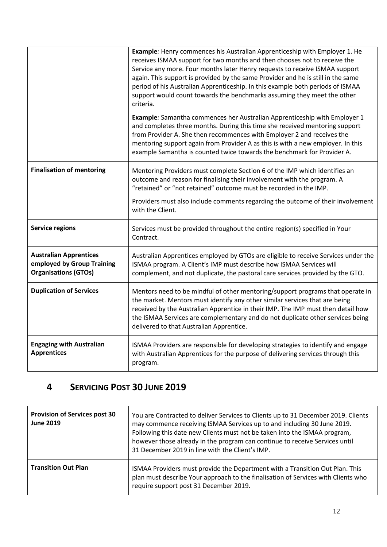|                                                                                            | Example: Henry commences his Australian Apprenticeship with Employer 1. He<br>receives ISMAA support for two months and then chooses not to receive the<br>Service any more. Four months later Henry requests to receive ISMAA support<br>again. This support is provided by the same Provider and he is still in the same<br>period of his Australian Apprenticeship. In this example both periods of ISMAA<br>support would count towards the benchmarks assuming they meet the other<br>criteria. |
|--------------------------------------------------------------------------------------------|------------------------------------------------------------------------------------------------------------------------------------------------------------------------------------------------------------------------------------------------------------------------------------------------------------------------------------------------------------------------------------------------------------------------------------------------------------------------------------------------------|
|                                                                                            | <b>Example:</b> Samantha commences her Australian Apprenticeship with Employer 1<br>and completes three months. During this time she received mentoring support<br>from Provider A. She then recommences with Employer 2 and receives the<br>mentoring support again from Provider A as this is with a new employer. In this<br>example Samantha is counted twice towards the benchmark for Provider A.                                                                                              |
| <b>Finalisation of mentoring</b>                                                           | Mentoring Providers must complete Section 6 of the IMP which identifies an<br>outcome and reason for finalising their involvement with the program. A<br>"retained" or "not retained" outcome must be recorded in the IMP.                                                                                                                                                                                                                                                                           |
|                                                                                            | Providers must also include comments regarding the outcome of their involvement<br>with the Client.                                                                                                                                                                                                                                                                                                                                                                                                  |
| Service regions                                                                            | Services must be provided throughout the entire region(s) specified in Your<br>Contract.                                                                                                                                                                                                                                                                                                                                                                                                             |
| <b>Australian Apprentices</b><br>employed by Group Training<br><b>Organisations (GTOs)</b> | Australian Apprentices employed by GTOs are eligible to receive Services under the<br>ISMAA program. A Client's IMP must describe how ISMAA Services will<br>complement, and not duplicate, the pastoral care services provided by the GTO.                                                                                                                                                                                                                                                          |
| <b>Duplication of Services</b>                                                             | Mentors need to be mindful of other mentoring/support programs that operate in<br>the market. Mentors must identify any other similar services that are being<br>received by the Australian Apprentice in their IMP. The IMP must then detail how<br>the ISMAA Services are complementary and do not duplicate other services being<br>delivered to that Australian Apprentice.                                                                                                                      |
| <b>Engaging with Australian</b><br><b>Apprentices</b>                                      | ISMAA Providers are responsible for developing strategies to identify and engage<br>with Australian Apprentices for the purpose of delivering services through this<br>program.                                                                                                                                                                                                                                                                                                                      |

#### <span id="page-11-0"></span>**4 SERVICING POST 30 JUNE 2019**

| <b>Provision of Services post 30</b><br><b>June 2019</b> | You are Contracted to deliver Services to Clients up to 31 December 2019. Clients<br>may commence receiving ISMAA Services up to and including 30 June 2019.<br>Following this date new Clients must not be taken into the ISMAA program,<br>however those already in the program can continue to receive Services until<br>31 December 2019 in line with the Client's IMP. |
|----------------------------------------------------------|-----------------------------------------------------------------------------------------------------------------------------------------------------------------------------------------------------------------------------------------------------------------------------------------------------------------------------------------------------------------------------|
| <b>Transition Out Plan</b>                               | ISMAA Providers must provide the Department with a Transition Out Plan. This<br>plan must describe Your approach to the finalisation of Services with Clients who<br>require support post 31 December 2019.                                                                                                                                                                 |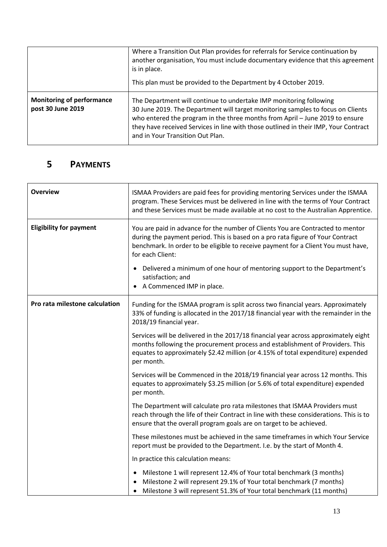|                                                       | Where a Transition Out Plan provides for referrals for Service continuation by<br>another organisation, You must include documentary evidence that this agreement<br>is in place.<br>This plan must be provided to the Department by 4 October 2019.                                                                                                             |
|-------------------------------------------------------|------------------------------------------------------------------------------------------------------------------------------------------------------------------------------------------------------------------------------------------------------------------------------------------------------------------------------------------------------------------|
| <b>Monitoring of performance</b><br>post 30 June 2019 | The Department will continue to undertake IMP monitoring following<br>30 June 2019. The Department will target monitoring samples to focus on Clients<br>who entered the program in the three months from April - June 2019 to ensure<br>they have received Services in line with those outlined in their IMP, Your Contract<br>and in Your Transition Out Plan. |

#### <span id="page-12-0"></span>**5 PAYMENTS**

| <b>Overview</b>                | ISMAA Providers are paid fees for providing mentoring Services under the ISMAA<br>program. These Services must be delivered in line with the terms of Your Contract<br>and these Services must be made available at no cost to the Australian Apprentice.                 |
|--------------------------------|---------------------------------------------------------------------------------------------------------------------------------------------------------------------------------------------------------------------------------------------------------------------------|
|                                |                                                                                                                                                                                                                                                                           |
| <b>Eligibility for payment</b> | You are paid in advance for the number of Clients You are Contracted to mentor<br>during the payment period. This is based on a pro rata figure of Your Contract<br>benchmark. In order to be eligible to receive payment for a Client You must have,<br>for each Client: |
|                                | Delivered a minimum of one hour of mentoring support to the Department's<br>satisfaction; and<br>• A Commenced IMP in place.                                                                                                                                              |
| Pro rata milestone calculation | Funding for the ISMAA program is split across two financial years. Approximately<br>33% of funding is allocated in the 2017/18 financial year with the remainder in the<br>2018/19 financial year.                                                                        |
|                                | Services will be delivered in the 2017/18 financial year across approximately eight<br>months following the procurement process and establishment of Providers. This<br>equates to approximately \$2.42 million (or 4.15% of total expenditure) expended<br>per month.    |
|                                | Services will be Commenced in the 2018/19 financial year across 12 months. This<br>equates to approximately \$3.25 million (or 5.6% of total expenditure) expended<br>per month.                                                                                          |
|                                | The Department will calculate pro rata milestones that ISMAA Providers must<br>reach through the life of their Contract in line with these considerations. This is to<br>ensure that the overall program goals are on target to be achieved.                              |
|                                | These milestones must be achieved in the same timeframes in which Your Service<br>report must be provided to the Department. I.e. by the start of Month 4.                                                                                                                |
|                                | In practice this calculation means:                                                                                                                                                                                                                                       |
|                                | Milestone 1 will represent 12.4% of Your total benchmark (3 months)<br>Milestone 2 will represent 29.1% of Your total benchmark (7 months)<br>• Milestone 3 will represent 51.3% of Your total benchmark (11 months)                                                      |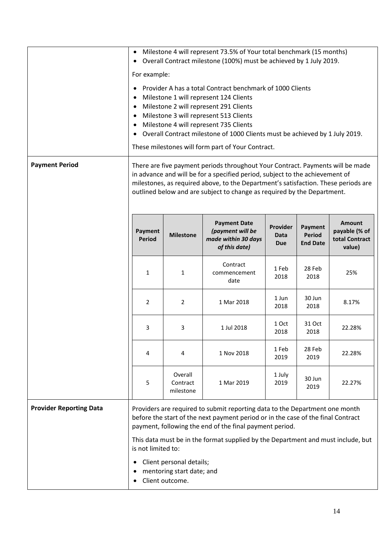|                                |                                                                                                                                                                                                                                                                                                                                                                       |                                                                          | Milestone 4 will represent 73.5% of Your total benchmark (15 months)<br>Overall Contract milestone (100%) must be achieved by 1 July 2019.                                                                                                                                                                                      |                                |                                             |                                                            |  |  |  |
|--------------------------------|-----------------------------------------------------------------------------------------------------------------------------------------------------------------------------------------------------------------------------------------------------------------------------------------------------------------------------------------------------------------------|--------------------------------------------------------------------------|---------------------------------------------------------------------------------------------------------------------------------------------------------------------------------------------------------------------------------------------------------------------------------------------------------------------------------|--------------------------------|---------------------------------------------|------------------------------------------------------------|--|--|--|
|                                | For example:                                                                                                                                                                                                                                                                                                                                                          |                                                                          |                                                                                                                                                                                                                                                                                                                                 |                                |                                             |                                                            |  |  |  |
|                                | Provider A has a total Contract benchmark of 1000 Clients<br>Milestone 1 will represent 124 Clients<br>Milestone 2 will represent 291 Clients<br>Milestone 3 will represent 513 Clients<br>Milestone 4 will represent 735 Clients<br>Overall Contract milestone of 1000 Clients must be achieved by 1 July 2019.<br>These milestones will form part of Your Contract. |                                                                          |                                                                                                                                                                                                                                                                                                                                 |                                |                                             |                                                            |  |  |  |
| <b>Payment Period</b>          |                                                                                                                                                                                                                                                                                                                                                                       |                                                                          | There are five payment periods throughout Your Contract. Payments will be made<br>in advance and will be for a specified period, subject to the achievement of<br>milestones, as required above, to the Department's satisfaction. These periods are<br>outlined below and are subject to change as required by the Department. |                                |                                             |                                                            |  |  |  |
|                                | Payment<br><b>Period</b>                                                                                                                                                                                                                                                                                                                                              | <b>Milestone</b>                                                         | <b>Payment Date</b><br>(payment will be<br>made within 30 days<br>of this date)                                                                                                                                                                                                                                                 | Provider<br>Data<br><b>Due</b> | Payment<br><b>Period</b><br><b>End Date</b> | <b>Amount</b><br>payable (% of<br>total Contract<br>value) |  |  |  |
|                                | 1                                                                                                                                                                                                                                                                                                                                                                     | $\mathbf{1}$                                                             | Contract<br>commencement<br>date                                                                                                                                                                                                                                                                                                | 1 Feb<br>2018                  | 28 Feb<br>2018                              | 25%                                                        |  |  |  |
|                                | 1 Jun<br>30 Jun<br>$\overline{2}$<br>1 Mar 2018<br>2<br>8.17%<br>2018<br>2018                                                                                                                                                                                                                                                                                         |                                                                          |                                                                                                                                                                                                                                                                                                                                 |                                |                                             |                                                            |  |  |  |
|                                | 1 Oct<br>31 Oct<br>3<br>3<br>1 Jul 2018<br>22.28%<br>2018<br>2018                                                                                                                                                                                                                                                                                                     |                                                                          |                                                                                                                                                                                                                                                                                                                                 |                                |                                             |                                                            |  |  |  |
|                                | 1 Feb<br>28 Feb<br>1 Nov 2018<br>22.28%<br>4<br>4<br>2019<br>2019                                                                                                                                                                                                                                                                                                     |                                                                          |                                                                                                                                                                                                                                                                                                                                 |                                |                                             |                                                            |  |  |  |
|                                | Overall<br>1 July<br>30 Jun<br>5<br>Contract<br>1 Mar 2019<br>2019<br>22.27%<br>2019<br>milestone                                                                                                                                                                                                                                                                     |                                                                          |                                                                                                                                                                                                                                                                                                                                 |                                |                                             |                                                            |  |  |  |
| <b>Provider Reporting Data</b> |                                                                                                                                                                                                                                                                                                                                                                       |                                                                          | Providers are required to submit reporting data to the Department one month<br>before the start of the next payment period or in the case of the final Contract<br>payment, following the end of the final payment period.                                                                                                      |                                |                                             |                                                            |  |  |  |
|                                | is not limited to:                                                                                                                                                                                                                                                                                                                                                    |                                                                          | This data must be in the format supplied by the Department and must include, but                                                                                                                                                                                                                                                |                                |                                             |                                                            |  |  |  |
|                                |                                                                                                                                                                                                                                                                                                                                                                       | Client personal details;<br>mentoring start date; and<br>Client outcome. |                                                                                                                                                                                                                                                                                                                                 |                                |                                             |                                                            |  |  |  |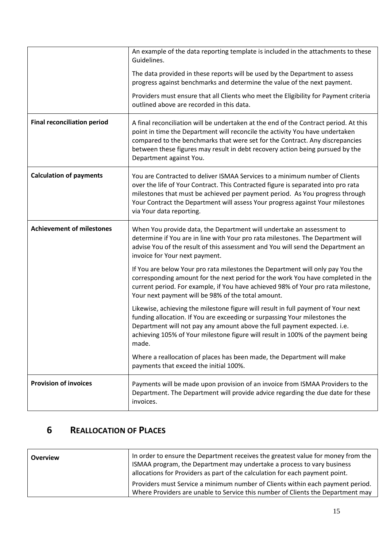|                                    | An example of the data reporting template is included in the attachments to these<br>Guidelines.                                                                                                                                                                                                                                                                 |
|------------------------------------|------------------------------------------------------------------------------------------------------------------------------------------------------------------------------------------------------------------------------------------------------------------------------------------------------------------------------------------------------------------|
|                                    | The data provided in these reports will be used by the Department to assess<br>progress against benchmarks and determine the value of the next payment.                                                                                                                                                                                                          |
|                                    | Providers must ensure that all Clients who meet the Eligibility for Payment criteria<br>outlined above are recorded in this data.                                                                                                                                                                                                                                |
| <b>Final reconciliation period</b> | A final reconciliation will be undertaken at the end of the Contract period. At this<br>point in time the Department will reconcile the activity You have undertaken<br>compared to the benchmarks that were set for the Contract. Any discrepancies<br>between these figures may result in debt recovery action being pursued by the<br>Department against You. |
| <b>Calculation of payments</b>     | You are Contracted to deliver ISMAA Services to a minimum number of Clients<br>over the life of Your Contract. This Contracted figure is separated into pro rata<br>milestones that must be achieved per payment period. As You progress through<br>Your Contract the Department will assess Your progress against Your milestones<br>via Your data reporting.   |
| <b>Achievement of milestones</b>   | When You provide data, the Department will undertake an assessment to<br>determine if You are in line with Your pro rata milestones. The Department will<br>advise You of the result of this assessment and You will send the Department an<br>invoice for Your next payment.                                                                                    |
|                                    | If You are below Your pro rata milestones the Department will only pay You the<br>corresponding amount for the next period for the work You have completed in the<br>current period. For example, if You have achieved 98% of Your pro rata milestone,<br>Your next payment will be 98% of the total amount.                                                     |
|                                    | Likewise, achieving the milestone figure will result in full payment of Your next<br>funding allocation. If You are exceeding or surpassing Your milestones the<br>Department will not pay any amount above the full payment expected. i.e.<br>achieving 105% of Your milestone figure will result in 100% of the payment being<br>made.                         |
|                                    | Where a reallocation of places has been made, the Department will make<br>payments that exceed the initial 100%.                                                                                                                                                                                                                                                 |
| <b>Provision of invoices</b>       | Payments will be made upon provision of an invoice from ISMAA Providers to the<br>Department. The Department will provide advice regarding the due date for these<br>invoices.                                                                                                                                                                                   |

#### <span id="page-14-0"></span>**6 REALLOCATION OF PLACES**

| <b>Overview</b> | In order to ensure the Department receives the greatest value for money from the<br>ISMAA program, the Department may undertake a process to vary business<br>allocations for Providers as part of the calculation for each payment point. |
|-----------------|--------------------------------------------------------------------------------------------------------------------------------------------------------------------------------------------------------------------------------------------|
|                 | Providers must Service a minimum number of Clients within each payment period.<br>Where Providers are unable to Service this number of Clients the Department may                                                                          |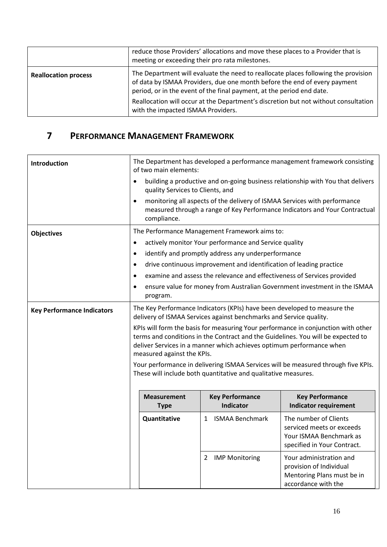|                             | reduce those Providers' allocations and move these places to a Provider that is<br>meeting or exceeding their pro rata milestones.                                                                                                                                                                                                                                    |
|-----------------------------|-----------------------------------------------------------------------------------------------------------------------------------------------------------------------------------------------------------------------------------------------------------------------------------------------------------------------------------------------------------------------|
| <b>Reallocation process</b> | The Department will evaluate the need to reallocate places following the provision<br>of data by ISMAA Providers, due one month before the end of every payment<br>period, or in the event of the final payment, at the period end date.<br>Reallocation will occur at the Department's discretion but not without consultation<br>with the impacted ISMAA Providers. |

#### <span id="page-15-0"></span>**7 PERFORMANCE MANAGEMENT FRAMEWORK**

| Introduction                      |                                   | The Department has developed a performance management framework consisting<br>of two main elements:                                                                                                                                                                         |                                                                                                         |  |  |  |
|-----------------------------------|-----------------------------------|-----------------------------------------------------------------------------------------------------------------------------------------------------------------------------------------------------------------------------------------------------------------------------|---------------------------------------------------------------------------------------------------------|--|--|--|
|                                   | quality Services to Clients, and  |                                                                                                                                                                                                                                                                             | building a productive and on-going business relationship with You that delivers                         |  |  |  |
|                                   | $\bullet$<br>compliance.          | monitoring all aspects of the delivery of ISMAA Services with performance                                                                                                                                                                                                   | measured through a range of Key Performance Indicators and Your Contractual                             |  |  |  |
| <b>Objectives</b>                 |                                   | The Performance Management Framework aims to:                                                                                                                                                                                                                               |                                                                                                         |  |  |  |
|                                   | $\bullet$                         | actively monitor Your performance and Service quality                                                                                                                                                                                                                       |                                                                                                         |  |  |  |
|                                   | $\bullet$                         | identify and promptly address any underperformance                                                                                                                                                                                                                          |                                                                                                         |  |  |  |
|                                   | $\bullet$                         | drive continuous improvement and identification of leading practice                                                                                                                                                                                                         |                                                                                                         |  |  |  |
|                                   |                                   | examine and assess the relevance and effectiveness of Services provided                                                                                                                                                                                                     |                                                                                                         |  |  |  |
|                                   | $\bullet$<br>program.             |                                                                                                                                                                                                                                                                             | ensure value for money from Australian Government investment in the ISMAA                               |  |  |  |
| <b>Key Performance Indicators</b> |                                   | The Key Performance Indicators (KPIs) have been developed to measure the<br>delivery of ISMAA Services against benchmarks and Service quality.                                                                                                                              |                                                                                                         |  |  |  |
|                                   |                                   | KPIs will form the basis for measuring Your performance in conjunction with other<br>terms and conditions in the Contract and the Guidelines. You will be expected to<br>deliver Services in a manner which achieves optimum performance when<br>measured against the KPIs. |                                                                                                         |  |  |  |
|                                   |                                   | These will include both quantitative and qualitative measures.                                                                                                                                                                                                              | Your performance in delivering ISMAA Services will be measured through five KPIs.                       |  |  |  |
|                                   | <b>Measurement</b><br><b>Type</b> | <b>Key Performance</b><br><b>Indicator</b>                                                                                                                                                                                                                                  | <b>Key Performance</b><br><b>Indicator requirement</b>                                                  |  |  |  |
|                                   | Quantitative                      | The number of Clients<br>1 ISMAA Benchmark<br>serviced meets or exceeds<br>Your ISMAA Benchmark as<br>specified in Your Contract.                                                                                                                                           |                                                                                                         |  |  |  |
|                                   |                                   | <b>IMP Monitoring</b><br>$\overline{2}$                                                                                                                                                                                                                                     | Your administration and<br>provision of Individual<br>Mentoring Plans must be in<br>accordance with the |  |  |  |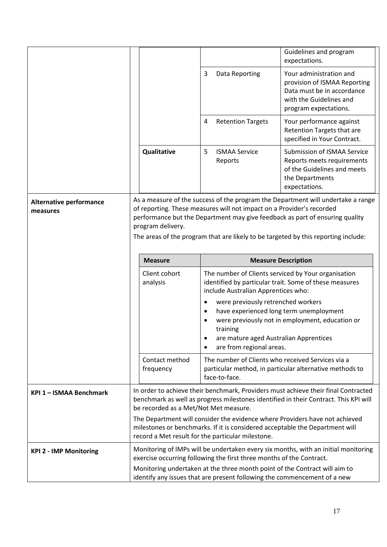|                                            |                                       |                |                                                                                | Guidelines and program<br>expectations.                                                                                                                                                                                                                |
|--------------------------------------------|---------------------------------------|----------------|--------------------------------------------------------------------------------|--------------------------------------------------------------------------------------------------------------------------------------------------------------------------------------------------------------------------------------------------------|
|                                            |                                       | 3              | Data Reporting                                                                 | Your administration and<br>provision of ISMAA Reporting<br>Data must be in accordance<br>with the Guidelines and<br>program expectations.                                                                                                              |
|                                            |                                       | 4              | <b>Retention Targets</b>                                                       | Your performance against<br>Retention Targets that are<br>specified in Your Contract.                                                                                                                                                                  |
|                                            | Qualitative                           | 5              | <b>ISMAA Service</b><br>Reports                                                | <b>Submission of ISMAA Service</b><br>Reports meets requirements<br>of the Guidelines and meets<br>the Departments<br>expectations.                                                                                                                    |
| <b>Alternative performance</b><br>measures | program delivery.                     |                | of reporting. These measures will not impact on a Provider's recorded          | As a measure of the success of the program the Department will undertake a range<br>performance but the Department may give feedback as part of ensuring quality<br>The areas of the program that are likely to be targeted by this reporting include: |
|                                            | <b>Measure</b>                        |                |                                                                                | <b>Measure Description</b>                                                                                                                                                                                                                             |
|                                            | Client cohort<br>analysis             |                | include Australian Apprentices who:                                            | The number of Clients serviced by Your organisation<br>identified by particular trait. Some of these measures                                                                                                                                          |
|                                            |                                       | ٠<br>$\bullet$ | were previously retrenched workers<br>have experienced long term unemployment  | were previously not in employment, education or                                                                                                                                                                                                        |
|                                            |                                       | $\bullet$      | training<br>are mature aged Australian Apprentices<br>are from regional areas. |                                                                                                                                                                                                                                                        |
|                                            | Contact method<br>frequency           |                | face-to-face.                                                                  | The number of Clients who received Services via a<br>particular method, in particular alternative methods to                                                                                                                                           |
| KPI 1 - ISMAA Benchmark                    | be recorded as a Met/Not Met measure. |                |                                                                                | In order to achieve their benchmark, Providers must achieve their final Contracted<br>benchmark as well as progress milestones identified in their Contract. This KPI will                                                                             |
|                                            |                                       |                | record a Met result for the particular milestone.                              | The Department will consider the evidence where Providers have not achieved<br>milestones or benchmarks. If it is considered acceptable the Department will                                                                                            |
| <b>KPI 2 - IMP Monitoring</b>              |                                       |                | exercise occurring following the first three months of the Contract.           | Monitoring of IMPs will be undertaken every six months, with an initial monitoring                                                                                                                                                                     |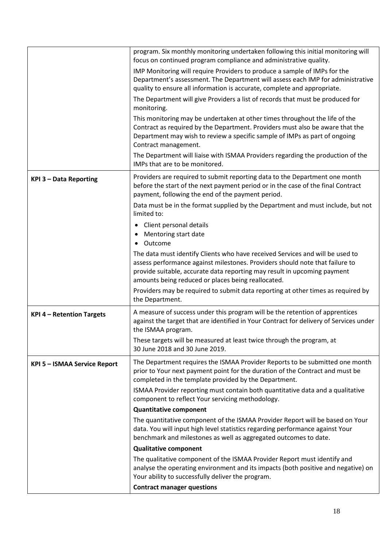|                                  | program. Six monthly monitoring undertaken following this initial monitoring will<br>focus on continued program compliance and administrative quality.                                                                                                                                          |
|----------------------------------|-------------------------------------------------------------------------------------------------------------------------------------------------------------------------------------------------------------------------------------------------------------------------------------------------|
|                                  | IMP Monitoring will require Providers to produce a sample of IMPs for the<br>Department's assessment. The Department will assess each IMP for administrative<br>quality to ensure all information is accurate, complete and appropriate.                                                        |
|                                  | The Department will give Providers a list of records that must be produced for<br>monitoring.                                                                                                                                                                                                   |
|                                  | This monitoring may be undertaken at other times throughout the life of the<br>Contract as required by the Department. Providers must also be aware that the<br>Department may wish to review a specific sample of IMPs as part of ongoing<br>Contract management.                              |
|                                  | The Department will liaise with ISMAA Providers regarding the production of the<br>IMPs that are to be monitored.                                                                                                                                                                               |
| KPI 3 - Data Reporting           | Providers are required to submit reporting data to the Department one month<br>before the start of the next payment period or in the case of the final Contract<br>payment, following the end of the payment period.                                                                            |
|                                  | Data must be in the format supplied by the Department and must include, but not<br>limited to:                                                                                                                                                                                                  |
|                                  | Client personal details<br>Mentoring start date<br>Outcome                                                                                                                                                                                                                                      |
|                                  | The data must identify Clients who have received Services and will be used to<br>assess performance against milestones. Providers should note that failure to<br>provide suitable, accurate data reporting may result in upcoming payment<br>amounts being reduced or places being reallocated. |
|                                  | Providers may be required to submit data reporting at other times as required by<br>the Department.                                                                                                                                                                                             |
| <b>KPI 4 - Retention Targets</b> | A measure of success under this program will be the retention of apprentices<br>against the target that are identified in Your Contract for delivery of Services under<br>the ISMAA program.                                                                                                    |
|                                  | These targets will be measured at least twice through the program, at<br>30 June 2018 and 30 June 2019.                                                                                                                                                                                         |
| KPI 5 - ISMAA Service Report     | The Department requires the ISMAA Provider Reports to be submitted one month<br>prior to Your next payment point for the duration of the Contract and must be<br>completed in the template provided by the Department.                                                                          |
|                                  | ISMAA Provider reporting must contain both quantitative data and a qualitative<br>component to reflect Your servicing methodology.                                                                                                                                                              |
|                                  | <b>Quantitative component</b>                                                                                                                                                                                                                                                                   |
|                                  | The quantitative component of the ISMAA Provider Report will be based on Your<br>data. You will input high level statistics regarding performance against Your<br>benchmark and milestones as well as aggregated outcomes to date.                                                              |
|                                  | <b>Qualitative component</b>                                                                                                                                                                                                                                                                    |
|                                  | The qualitative component of the ISMAA Provider Report must identify and<br>analyse the operating environment and its impacts (both positive and negative) on<br>Your ability to successfully deliver the program.                                                                              |
|                                  | <b>Contract manager questions</b>                                                                                                                                                                                                                                                               |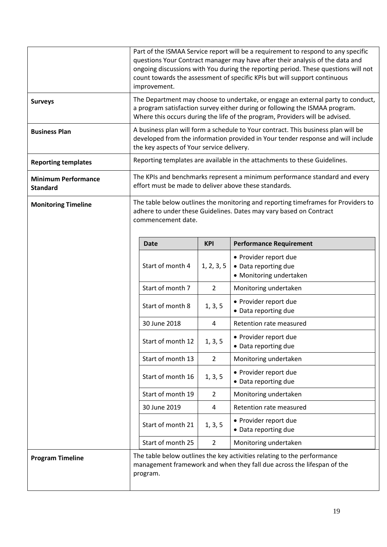|                                               |                                                                                                                                                                                                                                              | Part of the ISMAA Service report will be a requirement to respond to any specific<br>questions Your Contract manager may have after their analysis of the data and<br>ongoing discussions with You during the reporting period. These questions will not<br>count towards the assessment of specific KPIs but will support continuous<br>improvement. |                |                                                                                                                                                                                                                                                |  |  |  |
|-----------------------------------------------|----------------------------------------------------------------------------------------------------------------------------------------------------------------------------------------------------------------------------------------------|-------------------------------------------------------------------------------------------------------------------------------------------------------------------------------------------------------------------------------------------------------------------------------------------------------------------------------------------------------|----------------|------------------------------------------------------------------------------------------------------------------------------------------------------------------------------------------------------------------------------------------------|--|--|--|
| <b>Surveys</b>                                |                                                                                                                                                                                                                                              |                                                                                                                                                                                                                                                                                                                                                       |                | The Department may choose to undertake, or engage an external party to conduct,<br>a program satisfaction survey either during or following the ISMAA program.<br>Where this occurs during the life of the program, Providers will be advised. |  |  |  |
| <b>Business Plan</b>                          |                                                                                                                                                                                                                                              | A business plan will form a schedule to Your contract. This business plan will be<br>developed from the information provided in Your tender response and will include<br>the key aspects of Your service delivery.                                                                                                                                    |                |                                                                                                                                                                                                                                                |  |  |  |
| <b>Reporting templates</b>                    |                                                                                                                                                                                                                                              |                                                                                                                                                                                                                                                                                                                                                       |                | Reporting templates are available in the attachments to these Guidelines.                                                                                                                                                                      |  |  |  |
| <b>Minimum Performance</b><br><b>Standard</b> | The KPIs and benchmarks represent a minimum performance standard and every<br>effort must be made to deliver above these standards.                                                                                                          |                                                                                                                                                                                                                                                                                                                                                       |                |                                                                                                                                                                                                                                                |  |  |  |
| <b>Monitoring Timeline</b>                    | The table below outlines the monitoring and reporting timeframes for Providers to<br>adhere to under these Guidelines. Dates may vary based on Contract<br>commencement date.<br><b>KPI</b><br><b>Date</b><br><b>Performance Requirement</b> |                                                                                                                                                                                                                                                                                                                                                       |                |                                                                                                                                                                                                                                                |  |  |  |
|                                               |                                                                                                                                                                                                                                              |                                                                                                                                                                                                                                                                                                                                                       |                |                                                                                                                                                                                                                                                |  |  |  |
|                                               |                                                                                                                                                                                                                                              | Start of month 4                                                                                                                                                                                                                                                                                                                                      | 1, 2, 3, 5     | • Provider report due<br>• Data reporting due<br>• Monitoring undertaken                                                                                                                                                                       |  |  |  |
|                                               |                                                                                                                                                                                                                                              | Start of month 7                                                                                                                                                                                                                                                                                                                                      | $\overline{2}$ | Monitoring undertaken                                                                                                                                                                                                                          |  |  |  |
|                                               |                                                                                                                                                                                                                                              | Start of month 8                                                                                                                                                                                                                                                                                                                                      | 1, 3, 5        | • Provider report due<br>• Data reporting due                                                                                                                                                                                                  |  |  |  |
|                                               |                                                                                                                                                                                                                                              | 30 June 2018                                                                                                                                                                                                                                                                                                                                          | 4              | Retention rate measured                                                                                                                                                                                                                        |  |  |  |
|                                               |                                                                                                                                                                                                                                              | Start of month 12                                                                                                                                                                                                                                                                                                                                     | 1, 3, 5        | · Provider report due<br>• Data reporting due                                                                                                                                                                                                  |  |  |  |
|                                               |                                                                                                                                                                                                                                              | Start of month 13                                                                                                                                                                                                                                                                                                                                     | $\overline{2}$ | Monitoring undertaken                                                                                                                                                                                                                          |  |  |  |
|                                               |                                                                                                                                                                                                                                              | Start of month 16                                                                                                                                                                                                                                                                                                                                     | 1, 3, 5        | • Provider report due<br>• Data reporting due                                                                                                                                                                                                  |  |  |  |
|                                               |                                                                                                                                                                                                                                              | Start of month 19                                                                                                                                                                                                                                                                                                                                     | $\overline{2}$ | Monitoring undertaken                                                                                                                                                                                                                          |  |  |  |
|                                               |                                                                                                                                                                                                                                              | 30 June 2019                                                                                                                                                                                                                                                                                                                                          | 4              | Retention rate measured                                                                                                                                                                                                                        |  |  |  |
|                                               |                                                                                                                                                                                                                                              | Start of month 21                                                                                                                                                                                                                                                                                                                                     | 1, 3, 5        | • Provider report due<br>• Data reporting due                                                                                                                                                                                                  |  |  |  |
|                                               |                                                                                                                                                                                                                                              | Start of month 25                                                                                                                                                                                                                                                                                                                                     | $\overline{2}$ | Monitoring undertaken                                                                                                                                                                                                                          |  |  |  |
| <b>Program Timeline</b>                       |                                                                                                                                                                                                                                              | program.                                                                                                                                                                                                                                                                                                                                              |                | The table below outlines the key activities relating to the performance<br>management framework and when they fall due across the lifespan of the                                                                                              |  |  |  |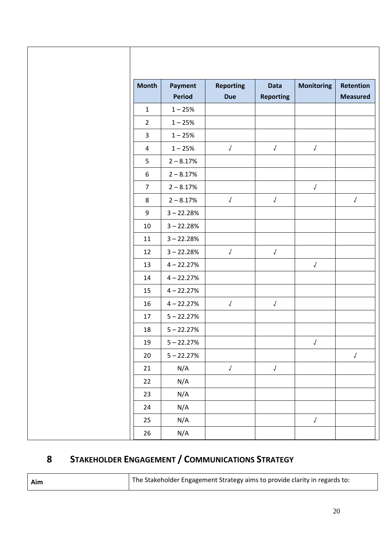| <b>Month</b>     | Payment<br><b>Period</b> | <b>Reporting</b><br><b>Due</b> | <b>Data</b><br>Reporting | <b>Monitoring</b>    | Retention<br><b>Measured</b> |
|------------------|--------------------------|--------------------------------|--------------------------|----------------------|------------------------------|
| $\mathbf{1}$     | $1 - 25%$                |                                |                          |                      |                              |
| $\overline{2}$   | $1 - 25%$                |                                |                          |                      |                              |
| $\overline{3}$   | $1 - 25%$                |                                |                          |                      |                              |
| 4                | $1 - 25%$                | $\sqrt{ }$                     | $\sqrt{\phantom{a}}$     | $\sqrt{\phantom{a}}$ |                              |
| 5                | $2 - 8.17%$              |                                |                          |                      |                              |
| $\boldsymbol{6}$ | $2 - 8.17%$              |                                |                          |                      |                              |
| $\overline{7}$   | $2 - 8.17%$              |                                |                          | $\sqrt{\phantom{a}}$ |                              |
| 8                | $2 - 8.17%$              | $\sqrt{ }$                     | $\sqrt{\phantom{a}}$     |                      | $\sqrt{ }$                   |
| 9                | $3 - 22.28%$             |                                |                          |                      |                              |
| 10               | $3 - 22.28%$             |                                |                          |                      |                              |
| 11               | $3 - 22.28%$             |                                |                          |                      |                              |
| 12               | $3 - 22.28%$             | $\sqrt{}$                      | $\sqrt{\phantom{a}}$     |                      |                              |
| 13               | $4 - 22.27%$             |                                |                          | $\sqrt{\phantom{a}}$ |                              |
| 14               | $4 - 22.27%$             |                                |                          |                      |                              |
| 15               | $4 - 22.27%$             |                                |                          |                      |                              |
| 16               | $4 - 22.27%$             | $\sqrt{ }$                     | $\sqrt{\phantom{a}}$     |                      |                              |
| 17               | $5 - 22.27%$             |                                |                          |                      |                              |
| 18               | $5 - 22.27%$             |                                |                          |                      |                              |
| 19               | $5 - 22.27%$             |                                |                          | $\sqrt{\phantom{a}}$ |                              |
| 20               | $5 - 22.27%$             |                                |                          |                      | $\sqrt{\phantom{a}}$         |
| 21               | N/A                      | $\sqrt{}$                      | $\sqrt{\phantom{a}}$     |                      |                              |
| 22               | N/A                      |                                |                          |                      |                              |
| 23               | N/A                      |                                |                          |                      |                              |
| 24               | N/A                      |                                |                          |                      |                              |
| 25               | N/A                      |                                |                          | $\sqrt{\phantom{a}}$ |                              |
| 26               | N/A                      |                                |                          |                      |                              |

### <span id="page-19-0"></span>**STAKEHOLDER ENGAGEMENT / COMMUNICATIONS STRATEGY**

| Aim | The Stakeholder Engagement Strategy aims to provide clarity in regards to: |
|-----|----------------------------------------------------------------------------|
|     |                                                                            |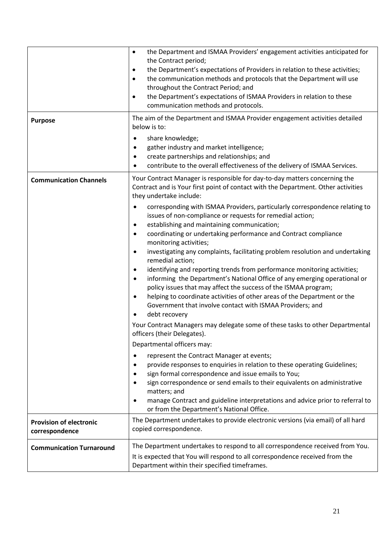| <b>Purpose</b>                                   | the Department and ISMAA Providers' engagement activities anticipated for<br>$\bullet$<br>the Contract period;<br>the Department's expectations of Providers in relation to these activities;<br>$\bullet$<br>the communication methods and protocols that the Department will use<br>$\bullet$<br>throughout the Contract Period; and<br>the Department's expectations of ISMAA Providers in relation to these<br>٠<br>communication methods and protocols.<br>The aim of the Department and ISMAA Provider engagement activities detailed<br>below is to:<br>share knowledge;<br>٠<br>gather industry and market intelligence;<br>$\bullet$<br>create partnerships and relationships; and<br>٠<br>contribute to the overall effectiveness of the delivery of ISMAA Services.                                                                                                                                                                                                                                                                                                                                                                                                                                                                                                                                                                                                                             |
|--------------------------------------------------|------------------------------------------------------------------------------------------------------------------------------------------------------------------------------------------------------------------------------------------------------------------------------------------------------------------------------------------------------------------------------------------------------------------------------------------------------------------------------------------------------------------------------------------------------------------------------------------------------------------------------------------------------------------------------------------------------------------------------------------------------------------------------------------------------------------------------------------------------------------------------------------------------------------------------------------------------------------------------------------------------------------------------------------------------------------------------------------------------------------------------------------------------------------------------------------------------------------------------------------------------------------------------------------------------------------------------------------------------------------------------------------------------------|
| <b>Communication Channels</b>                    | Your Contract Manager is responsible for day-to-day matters concerning the<br>Contract and is Your first point of contact with the Department. Other activities<br>they undertake include:                                                                                                                                                                                                                                                                                                                                                                                                                                                                                                                                                                                                                                                                                                                                                                                                                                                                                                                                                                                                                                                                                                                                                                                                                 |
|                                                  | corresponding with ISMAA Providers, particularly correspondence relating to<br>٠<br>issues of non-compliance or requests for remedial action;<br>establishing and maintaining communication;<br>٠<br>coordinating or undertaking performance and Contract compliance<br>٠<br>monitoring activities;<br>investigating any complaints, facilitating problem resolution and undertaking<br>٠<br>remedial action;<br>identifying and reporting trends from performance monitoring activities;<br>٠<br>informing the Department's National Office of any emerging operational or<br>٠<br>policy issues that may affect the success of the ISMAA program;<br>helping to coordinate activities of other areas of the Department or the<br>٠<br>Government that involve contact with ISMAA Providers; and<br>debt recovery<br>٠<br>Your Contract Managers may delegate some of these tasks to other Departmental<br>officers (their Delegates).<br>Departmental officers may:<br>represent the Contract Manager at events;<br>٠<br>provide responses to enquiries in relation to these operating Guidelines;<br>٠<br>sign formal correspondence and issue emails to You;<br>٠<br>sign correspondence or send emails to their equivalents on administrative<br>٠<br>matters; and<br>manage Contract and guideline interpretations and advice prior to referral to<br>٠<br>or from the Department's National Office. |
| <b>Provision of electronic</b><br>correspondence | The Department undertakes to provide electronic versions (via email) of all hard<br>copied correspondence.                                                                                                                                                                                                                                                                                                                                                                                                                                                                                                                                                                                                                                                                                                                                                                                                                                                                                                                                                                                                                                                                                                                                                                                                                                                                                                 |
| <b>Communication Turnaround</b>                  | The Department undertakes to respond to all correspondence received from You.<br>It is expected that You will respond to all correspondence received from the<br>Department within their specified timeframes.                                                                                                                                                                                                                                                                                                                                                                                                                                                                                                                                                                                                                                                                                                                                                                                                                                                                                                                                                                                                                                                                                                                                                                                             |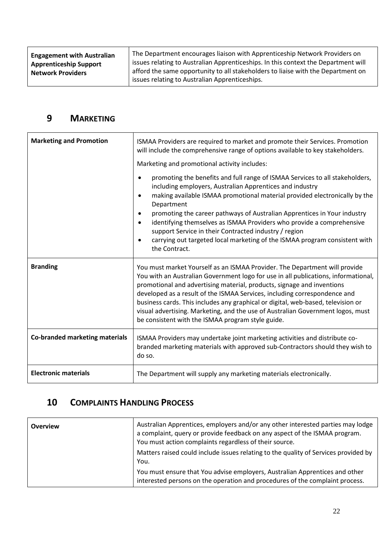| <b>Engagement with Australian</b><br><b>Apprenticeship Support</b> | The Department encourages liaison with Apprenticeship Network Providers on<br>issues relating to Australian Apprenticeships. In this context the Department will<br>afford the same opportunity to all stakeholders to liaise with the Department on |
|--------------------------------------------------------------------|------------------------------------------------------------------------------------------------------------------------------------------------------------------------------------------------------------------------------------------------------|
| <b>Network Providers</b>                                           | issues relating to Australian Apprenticeships.                                                                                                                                                                                                       |

#### <span id="page-21-0"></span>**9 MARKETING**

| <b>Marketing and Promotion</b> | ISMAA Providers are required to market and promote their Services. Promotion<br>will include the comprehensive range of options available to key stakeholders.<br>Marketing and promotional activity includes:<br>promoting the benefits and full range of ISMAA Services to all stakeholders,<br>$\bullet$<br>including employers, Australian Apprentices and industry<br>making available ISMAA promotional material provided electronically by the<br>$\bullet$<br>Department<br>promoting the career pathways of Australian Apprentices in Your industry<br>٠<br>identifying themselves as ISMAA Providers who provide a comprehensive<br>$\bullet$<br>support Service in their Contracted industry / region<br>carrying out targeted local marketing of the ISMAA program consistent with<br>٠<br>the Contract. |  |  |
|--------------------------------|----------------------------------------------------------------------------------------------------------------------------------------------------------------------------------------------------------------------------------------------------------------------------------------------------------------------------------------------------------------------------------------------------------------------------------------------------------------------------------------------------------------------------------------------------------------------------------------------------------------------------------------------------------------------------------------------------------------------------------------------------------------------------------------------------------------------|--|--|
| <b>Branding</b>                | You must market Yourself as an ISMAA Provider. The Department will provide<br>You with an Australian Government logo for use in all publications, informational,<br>promotional and advertising material, products, signage and inventions<br>developed as a result of the ISMAA Services, including correspondence and<br>business cards. This includes any graphical or digital, web-based, television or<br>visual advertising. Marketing, and the use of Australian Government logos, must<br>be consistent with the ISMAA program style guide.                                                                                                                                                                                                                                                                  |  |  |
| Co-branded marketing materials | ISMAA Providers may undertake joint marketing activities and distribute co-<br>branded marketing materials with approved sub-Contractors should they wish to<br>do so.                                                                                                                                                                                                                                                                                                                                                                                                                                                                                                                                                                                                                                               |  |  |
| <b>Electronic materials</b>    | The Department will supply any marketing materials electronically.                                                                                                                                                                                                                                                                                                                                                                                                                                                                                                                                                                                                                                                                                                                                                   |  |  |

#### <span id="page-21-1"></span>**10 COMPLAINTS HANDLING PROCESS**

| <b>Overview</b> | Australian Apprentices, employers and/or any other interested parties may lodge<br>a complaint, query or provide feedback on any aspect of the ISMAA program.<br>You must action complaints regardless of their source. |
|-----------------|-------------------------------------------------------------------------------------------------------------------------------------------------------------------------------------------------------------------------|
|                 | Matters raised could include issues relating to the quality of Services provided by<br>You.                                                                                                                             |
|                 | You must ensure that You advise employers, Australian Apprentices and other<br>interested persons on the operation and procedures of the complaint process.                                                             |